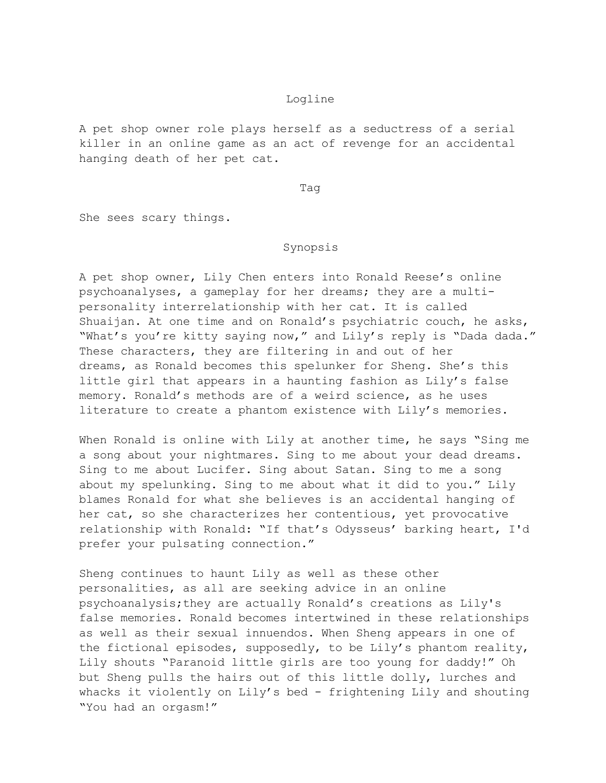## Logline

A pet shop owner role plays herself as a seductress of a serial killer in an online game as an act of revenge for an accidental hanging death of her pet cat.

Tag

She sees scary things.

## Synopsis

A pet shop owner, Lily Chen enters into Ronald Reese's online psychoanalyses, a gameplay for her dreams; they are a multipersonality interrelationship with her cat. It is called Shuaijan. At one time and on Ronald's psychiatric couch, he asks, "What's you're kitty saying now," and Lily's reply is "Dada dada." These characters, they are filtering in and out of her dreams, as Ronald becomes this spelunker for Sheng. She's this little girl that appears in a haunting fashion as Lily's false memory. Ronald's methods are of a weird science, as he uses literature to create a phantom existence with Lily's memories.

When Ronald is online with Lily at another time, he says "Sing me a song about your nightmares. Sing to me about your dead dreams. Sing to me about Lucifer. Sing about Satan. Sing to me a song about my spelunking. Sing to me about what it did to you." Lily blames Ronald for what she believes is an accidental hanging of her cat, so she characterizes her contentious, yet provocative relationship with Ronald: "If that's Odysseus' barking heart, I'd prefer your pulsating connection."

Sheng continues to haunt Lily as well as these other personalities, as all are seeking advice in an online psychoanalysis;they are actually Ronald's creations as Lily's false memories. Ronald becomes intertwined in these relationships as well as their sexual innuendos. When Sheng appears in one of the fictional episodes, supposedly, to be Lily's phantom reality, Lily shouts "Paranoid little girls are too young for daddy!" Oh but Sheng pulls the hairs out of this little dolly, lurches and whacks it violently on Lily's bed - frightening Lily and shouting "You had an orgasm!"